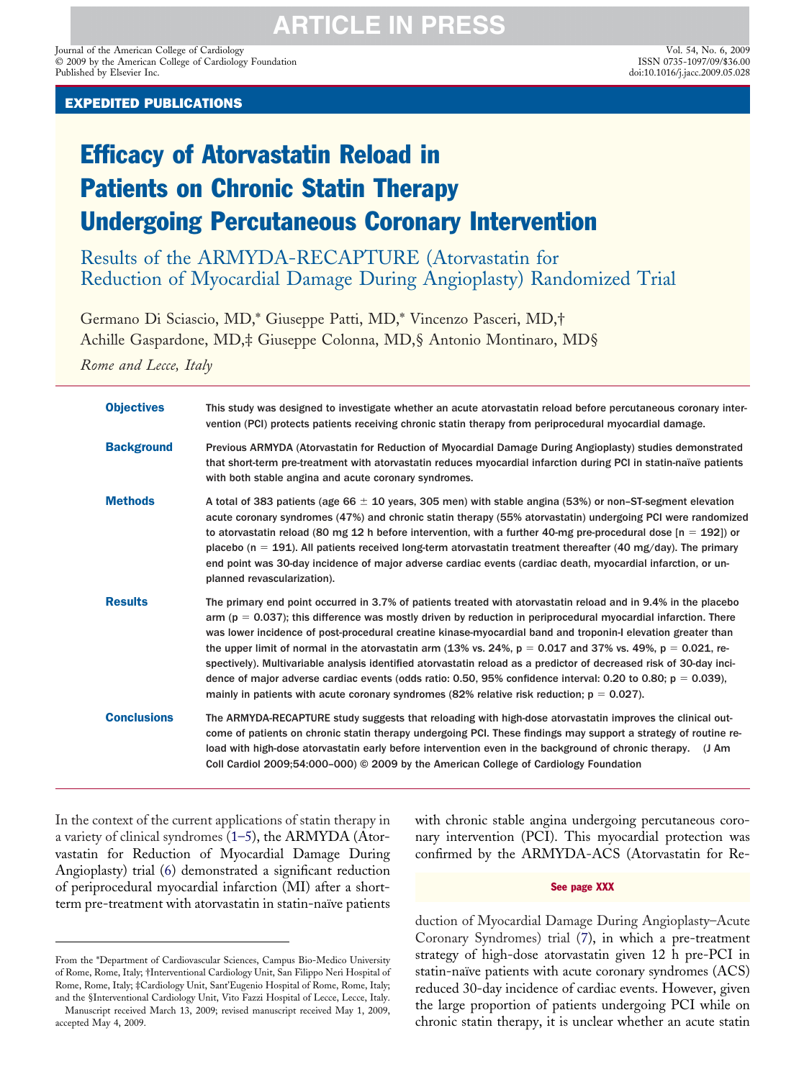Journal of the American College of Cardiology Vol. 54, No. 6, 2009 © 2009 by the American College of Cardiology Foundation Published by Elsevier Inc.

# Efficacy of Atorvastatin Reload in Patients on Chronic Statin Therapy Undergoing Percutaneous Coronary Intervention

Results of the ARMYDA-RECAPTURE (Atorvastatin for Reduction of Myocardial Damage During Angioplasty) Randomized Trial

Germano Di Sciascio, MD,\* Giuseppe Patti, MD,\* Vincenzo Pasceri, MD,† Achille Gaspardone, MD,‡ Giuseppe Colonna, MD,§ Antonio Montinaro, MD§

*Rome and Lecce, Italy*

| <b>Objectives</b>  | This study was designed to investigate whether an acute atorvastatin reload before percutaneous coronary inter-<br>vention (PCI) protects patients receiving chronic statin therapy from periprocedural myocardial damage.                                                                                                                                                                                                                                                                                                                                                                                                                                                                                                                                                                                       |
|--------------------|------------------------------------------------------------------------------------------------------------------------------------------------------------------------------------------------------------------------------------------------------------------------------------------------------------------------------------------------------------------------------------------------------------------------------------------------------------------------------------------------------------------------------------------------------------------------------------------------------------------------------------------------------------------------------------------------------------------------------------------------------------------------------------------------------------------|
| <b>Background</b>  | Previous ARMYDA (Atorvastatin for Reduction of Myocardial Damage During Angioplasty) studies demonstrated<br>that short-term pre-treatment with atorvastatin reduces myocardial infarction during PCI in statin-naïve patients<br>with both stable angina and acute coronary syndromes.                                                                                                                                                                                                                                                                                                                                                                                                                                                                                                                          |
| <b>Methods</b>     | A total of 383 patients (age 66 $\pm$ 10 years, 305 men) with stable angina (53%) or non-ST-segment elevation<br>acute coronary syndromes (47%) and chronic statin therapy (55% atorvastatin) undergoing PCI were randomized<br>to atorvastatin reload (80 mg 12 h before intervention, with a further 40-mg pre-procedural dose $[n = 192]$ ) or<br>placebo (n = 191). All patients received long-term atorvastatin treatment thereafter (40 mg/day). The primary<br>end point was 30-day incidence of major adverse cardiac events (cardiac death, myocardial infarction, or un-<br>planned revascularization).                                                                                                                                                                                                |
| <b>Results</b>     | The primary end point occurred in 3.7% of patients treated with atorvastatin reload and in 9.4% in the placebo<br>arm ( $p = 0.037$ ); this difference was mostly driven by reduction in periprocedural myocardial infarction. There<br>was lower incidence of post-procedural creatine kinase-myocardial band and troponin-I elevation greater than<br>the upper limit of normal in the atorvastatin arm (13% vs. 24%, $p = 0.017$ and 37% vs. 49%, $p = 0.021$ , re-<br>spectively). Multivariable analysis identified atorvastatin reload as a predictor of decreased risk of 30-day inci-<br>dence of major adverse cardiac events (odds ratio: 0.50, 95% confidence interval: 0.20 to 0.80; $p = 0.039$ ),<br>mainly in patients with acute coronary syndromes (82% relative risk reduction; $p = 0.027$ ). |
| <b>Conclusions</b> | The ARMYDA-RECAPTURE study suggests that reloading with high-dose atorvastatin improves the clinical out-<br>come of patients on chronic statin therapy undergoing PCI. These findings may support a strategy of routine re-<br>load with high-dose atorvastatin early before intervention even in the background of chronic therapy.<br>$J$ Am<br>Coll Cardiol 2009;54:000-000) © 2009 by the American College of Cardiology Foundation                                                                                                                                                                                                                                                                                                                                                                         |

In the context of the current applications of statin therapy in a variety of clinical syndromes [\(1–5\)](#page-6-0), the ARMYDA (Atorvastatin for Reduction of Myocardial Damage During Angioplasty) trial [\(6\)](#page-6-0) demonstrated a significant reduction of periprocedural myocardial infarction (MI) after a shortterm pre-treatment with atorvastatin in statin-naïve patients with chronic stable angina undergoing percutaneous coronary intervention (PCI). This myocardial protection was confirmed by the ARMYDA-ACS (Atorvastatin for Re-

#### See page XXX

duction of Myocardial Damage During Angioplasty–Acute Coronary Syndromes) trial [\(7\)](#page-6-0), in which a pre-treatment strategy of high-dose atorvastatin given 12 h pre-PCI in statin-naïve patients with acute coronary syndromes (ACS) reduced 30-day incidence of cardiac events. However, given the large proportion of patients undergoing PCI while on chronic statin therapy, it is unclear whether an acute statin

From the \*Department of Cardiovascular Sciences, Campus Bio-Medico University of Rome, Rome, Italy; †Interventional Cardiology Unit, San Filippo Neri Hospital of Rome, Rome, Italy; ‡Cardiology Unit, Sant'Eugenio Hospital of Rome, Rome, Italy; and the §Interventional Cardiology Unit, Vito Fazzi Hospital of Lecce, Lecce, Italy.

Manuscript received March 13, 2009; revised manuscript received May 1, 2009, accepted May 4, 2009.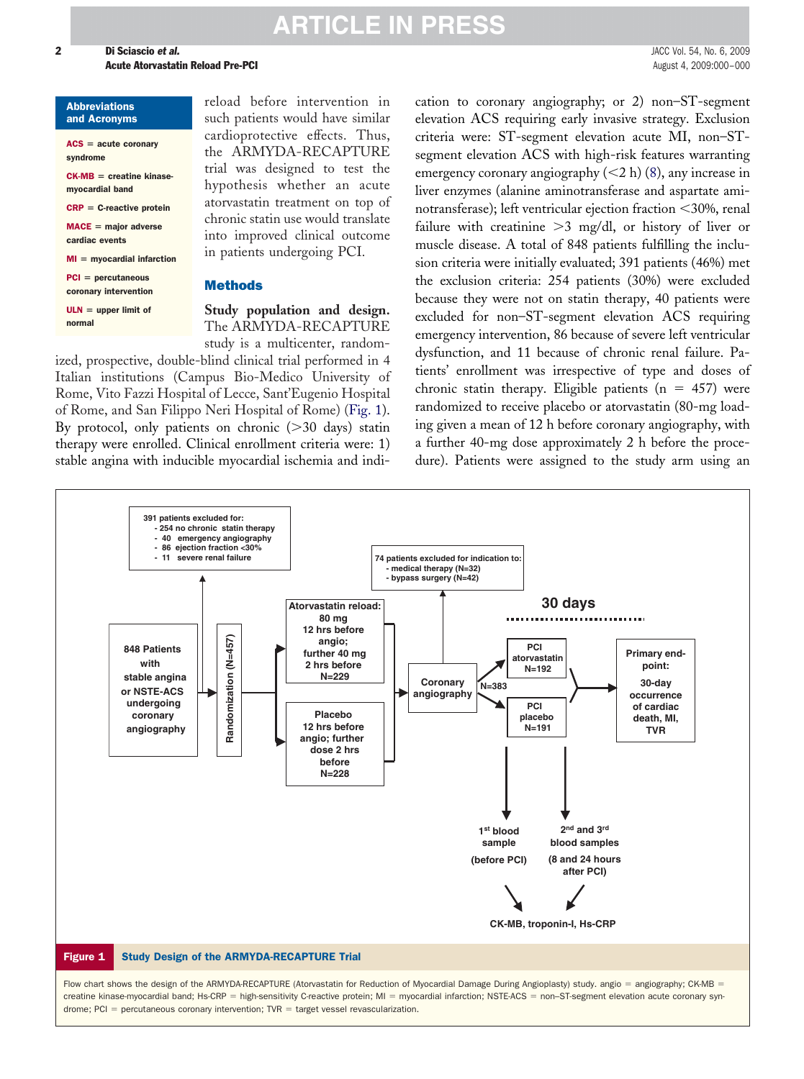#### **2 Di Sciascio et al.** JACC Vol. 54, No. 6, 2009 **Acute Atorvastatin Reload Pre-PCI August 4, 2009:000-000 August 4, 2009:000-000**

#### Abbreviations and Acronyms

| $ACS = acute coronary$<br>syndrome            |
|-----------------------------------------------|
| $CK-MB =$ creatine kinase-<br>mvocardial band |
| $CRP = C$ -reactive protein                   |
| $MACE =$ maior adverse<br>cardiac events      |
| $MI = myocardial infarction$                  |
| $PCI = percutaneous$<br>coronary intervention |
| $ULN =$ upper limit of<br>normal              |

reload before intervention in such patients would have similar cardioprotective effects. Thus, the ARMYDA-RECAPTURE trial was designed to test the hypothesis whether an acute atorvastatin treatment on top of chronic statin use would translate into improved clinical outcome in patients undergoing PCI.

### **Methods**

**Study population and design.** The ARMYDA-RECAPTURE study is a multicenter, random-

ized, prospective, double-blind clinical trial performed in 4 Italian institutions (Campus Bio-Medico University of Rome, Vito Fazzi Hospital of Lecce, Sant'Eugenio Hospital of Rome, and San Filippo Neri Hospital of Rome) (Fig. 1). By protocol, only patients on chronic  $(>30$  days) statin therapy were enrolled. Clinical enrollment criteria were: 1) stable angina with inducible myocardial ischemia and indication to coronary angiography; or 2) non–ST-segment elevation ACS requiring early invasive strategy. Exclusion criteria were: ST-segment elevation acute MI, non–STsegment elevation ACS with high-risk features warranting emergency coronary angiography  $(<2 h)$  [\(8\)](#page-6-0), any increase in liver enzymes (alanine aminotransferase and aspartate aminotransferase); left ventricular ejection fraction 30%, renal failure with creatinine  $>3$  mg/dl, or history of liver or muscle disease. A total of 848 patients fulfilling the inclusion criteria were initially evaluated; 391 patients (46%) met the exclusion criteria: 254 patients (30%) were excluded because they were not on statin therapy, 40 patients were excluded for non–ST-segment elevation ACS requiring emergency intervention, 86 because of severe left ventricular dysfunction, and 11 because of chronic renal failure. Patients' enrollment was irrespective of type and doses of chronic statin therapy. Eligible patients ( $n = 457$ ) were randomized to receive placebo or atorvastatin (80-mg loading given a mean of 12 h before coronary angiography, with a further 40-mg dose approximately 2 h before the procedure). Patients were assigned to the study arm using an



Flow chart shows the design of the ARMYDA-RECAPTURE (Atorvastatin for Reduction of Myocardial Damage During Angioplasty) study. angio = angiography; CK-MB = creatine kinase-myocardial band; Hs-CRP = high-sensitivity C-reactive protein; MI = myocardial infarction; NSTE-ACS = non-ST-segment elevation acute coronary syn $d$ rome; PCI = percutaneous coronary intervention; TVR = target vessel revascularization.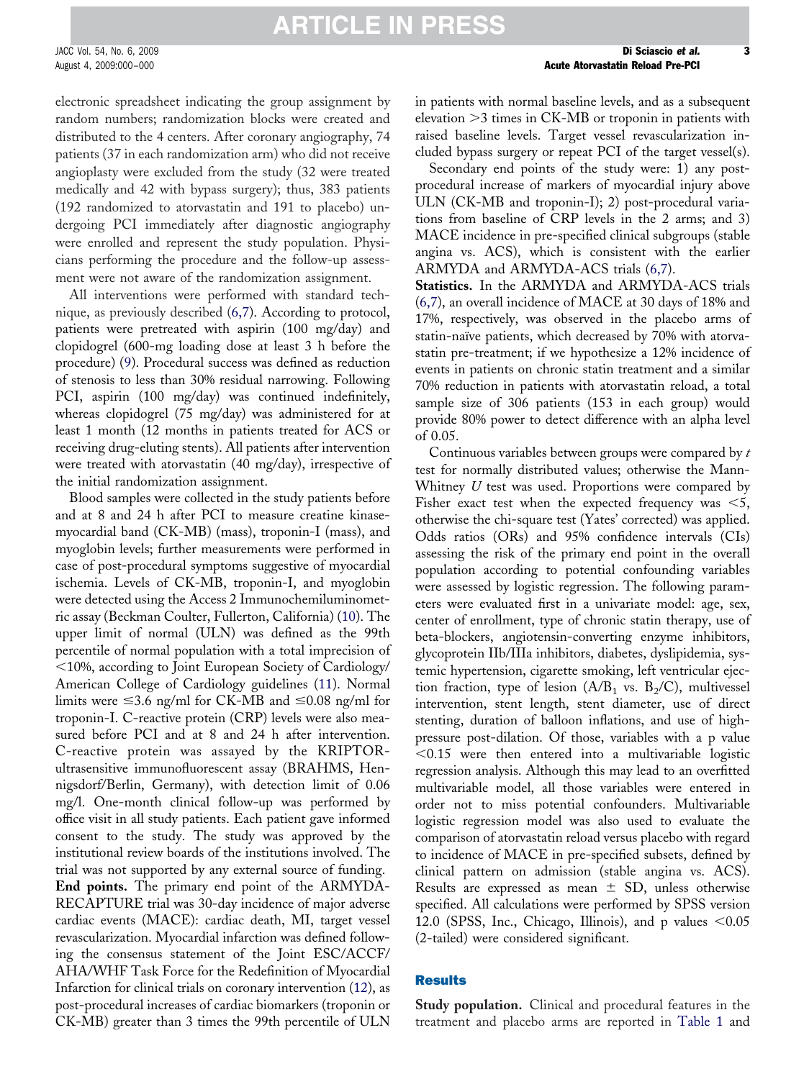electronic spreadsheet indicating the group assignment by random numbers; randomization blocks were created and distributed to the 4 centers. After coronary angiography, 74 patients (37 in each randomization arm) who did not receive angioplasty were excluded from the study (32 were treated medically and 42 with bypass surgery); thus, 383 patients (192 randomized to atorvastatin and 191 to placebo) undergoing PCI immediately after diagnostic angiography were enrolled and represent the study population. Physicians performing the procedure and the follow-up assessment were not aware of the randomization assignment.

All interventions were performed with standard technique, as previously described [\(6,7\)](#page-6-0). According to protocol, patients were pretreated with aspirin (100 mg/day) and clopidogrel (600-mg loading dose at least 3 h before the procedure) [\(9\)](#page-6-0). Procedural success was defined as reduction of stenosis to less than 30% residual narrowing. Following PCI, aspirin (100 mg/day) was continued indefinitely, whereas clopidogrel (75 mg/day) was administered for at least 1 month (12 months in patients treated for ACS or receiving drug-eluting stents). All patients after intervention were treated with atorvastatin (40 mg/day), irrespective of the initial randomization assignment.

Blood samples were collected in the study patients before and at 8 and 24 h after PCI to measure creatine kinasemyocardial band (CK-MB) (mass), troponin-I (mass), and myoglobin levels; further measurements were performed in case of post-procedural symptoms suggestive of myocardial ischemia. Levels of CK-MB, troponin-I, and myoglobin were detected using the Access 2 Immunochemiluminometric assay (Beckman Coulter, Fullerton, California) [\(10\)](#page-6-0). The upper limit of normal (ULN) was defined as the 99th percentile of normal population with a total imprecision of 10%, according to Joint European Society of Cardiology/ American College of Cardiology guidelines [\(11\)](#page-6-0). Normal limits were  $\leq$ 3.6 ng/ml for CK-MB and  $\leq$ 0.08 ng/ml for troponin-I. C-reactive protein (CRP) levels were also measured before PCI and at 8 and 24 h after intervention. C-reactive protein was assayed by the KRIPTORultrasensitive immunofluorescent assay (BRAHMS, Hennigsdorf/Berlin, Germany), with detection limit of 0.06 mg/l. One-month clinical follow-up was performed by office visit in all study patients. Each patient gave informed consent to the study. The study was approved by the institutional review boards of the institutions involved. The trial was not supported by any external source of funding. **End points.** The primary end point of the ARMYDA-RECAPTURE trial was 30-day incidence of major adverse cardiac events (MACE): cardiac death, MI, target vessel revascularization. Myocardial infarction was defined following the consensus statement of the Joint ESC/ACCF/ AHA/WHF Task Force for the Redefinition of Myocardial Infarction for clinical trials on coronary intervention [\(12\)](#page-6-0), as post-procedural increases of cardiac biomarkers (troponin or CK-MB) greater than 3 times the 99th percentile of ULN

in patients with normal baseline levels, and as a subsequent elevation  $>$ 3 times in CK-MB or troponin in patients with raised baseline levels. Target vessel revascularization included bypass surgery or repeat PCI of the target vessel(s).

Secondary end points of the study were: 1) any postprocedural increase of markers of myocardial injury above ULN (CK-MB and troponin-I); 2) post-procedural variations from baseline of CRP levels in the 2 arms; and 3) MACE incidence in pre-specified clinical subgroups (stable angina vs. ACS), which is consistent with the earlier ARMYDA and ARMYDA-ACS trials [\(6,7\)](#page-6-0).

**Statistics.** In the ARMYDA and ARMYDA-ACS trials [\(6,7\)](#page-6-0), an overall incidence of MACE at 30 days of 18% and 17%, respectively, was observed in the placebo arms of statin-naïve patients, which decreased by 70% with atorvastatin pre-treatment; if we hypothesize a 12% incidence of events in patients on chronic statin treatment and a similar 70% reduction in patients with atorvastatin reload, a total sample size of 306 patients (153 in each group) would provide 80% power to detect difference with an alpha level of 0.05.

Continuous variables between groups were compared by *t* test for normally distributed values; otherwise the Mann-Whitney *U* test was used. Proportions were compared by Fisher exact test when the expected frequency was  $<$  5, otherwise the chi-square test (Yates' corrected) was applied. Odds ratios (ORs) and 95% confidence intervals (CIs) assessing the risk of the primary end point in the overall population according to potential confounding variables were assessed by logistic regression. The following parameters were evaluated first in a univariate model: age, sex, center of enrollment, type of chronic statin therapy, use of beta-blockers, angiotensin-converting enzyme inhibitors, glycoprotein IIb/IIIa inhibitors, diabetes, dyslipidemia, systemic hypertension, cigarette smoking, left ventricular ejection fraction, type of lesion  $(A/B_1$  vs.  $B_2/C$ ), multivessel intervention, stent length, stent diameter, use of direct stenting, duration of balloon inflations, and use of highpressure post-dilation. Of those, variables with a p value  $\leq 0.15$  were then entered into a multivariable logistic regression analysis. Although this may lead to an overfitted multivariable model, all those variables were entered in order not to miss potential confounders. Multivariable logistic regression model was also used to evaluate the comparison of atorvastatin reload versus placebo with regard to incidence of MACE in pre-specified subsets, defined by clinical pattern on admission (stable angina vs. ACS). Results are expressed as mean  $\pm$  SD, unless otherwise specified. All calculations were performed by SPSS version 12.0 (SPSS, Inc., Chicago, Illinois), and p values  $< 0.05$ (2-tailed) were considered significant.

### **Results**

**Study population.** Clinical and procedural features in the treatment and placebo arms are reported in Table 1 and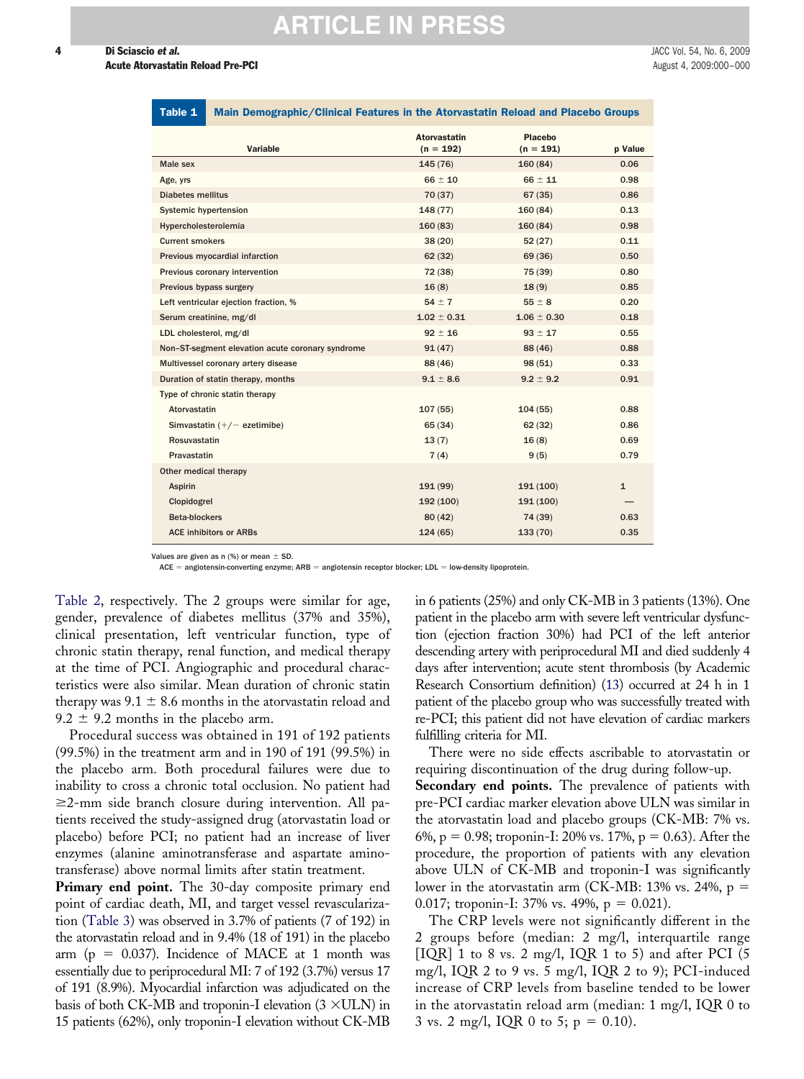| <b>Acute Atorvastatin Reload Pre-PCI</b> | August 4, 2009:000-000 |
|------------------------------------------|------------------------|

| $uvv =$<br>$m$ . The complete state of the complete $\sim$ $m$ and $\sim$ $m$ and $\sim$ $m$ and $\sim$ $m$ and $\sim$ $m$ and $\sim$ |                                    |                        |              |
|---------------------------------------------------------------------------------------------------------------------------------------|------------------------------------|------------------------|--------------|
| <b>Variable</b>                                                                                                                       | <b>Atorvastatin</b><br>$(n = 192)$ | Placebo<br>$(n = 191)$ | p Value      |
| Male sex                                                                                                                              | 145 (76)                           | 160(84)                | 0.06         |
| Age, yrs                                                                                                                              | $66 \pm 10$                        | $66 \pm 11$            | 0.98         |
| <b>Diabetes mellitus</b>                                                                                                              | 70 (37)                            | 67(35)                 | 0.86         |
| <b>Systemic hypertension</b>                                                                                                          | 148(77)                            | 160(84)                | 0.13         |
| Hypercholesterolemia                                                                                                                  | 160(83)                            | 160(84)                | 0.98         |
| <b>Current smokers</b>                                                                                                                | 38(20)                             | 52(27)                 | 0.11         |
| Previous myocardial infarction                                                                                                        | 62(32)                             | 69 (36)                | 0.50         |
| Previous coronary intervention                                                                                                        | 72 (38)                            | 75 (39)                | 0.80         |
| Previous bypass surgery                                                                                                               | 16(8)                              | 18(9)                  | 0.85         |
| Left ventricular ejection fraction, %                                                                                                 | $54 \pm 7$                         | $55 \pm 8$             | 0.20         |
| Serum creatinine, mg/dl                                                                                                               | $1.02 \pm 0.31$                    | $1.06 \pm 0.30$        | 0.18         |
| LDL cholesterol, mg/dl                                                                                                                | $92 \pm 16$                        | $93 \pm 17$            | 0.55         |
| Non-ST-segment elevation acute coronary syndrome                                                                                      | 91(47)                             | 88 (46)                | 0.88         |
| Multivessel coronary artery disease                                                                                                   | 88 (46)                            | 98 (51)                | 0.33         |
| Duration of statin therapy, months                                                                                                    | $9.1 \pm 8.6$                      | $9.2 \pm 9.2$          | 0.91         |
| Type of chronic statin therapy                                                                                                        |                                    |                        |              |
| Atorvastatin                                                                                                                          | 107(55)                            | 104(55)                | 0.88         |
| Simvastatin $(+/-$ ezetimibe)                                                                                                         | 65 (34)                            | 62(32)                 | 0.86         |
| <b>Rosuvastatin</b>                                                                                                                   | 13(7)                              | 16(8)                  | 0.69         |
| Pravastatin                                                                                                                           | 7(4)                               | 9(5)                   | 0.79         |
| Other medical therapy                                                                                                                 |                                    |                        |              |
| <b>Aspirin</b>                                                                                                                        | 191(99)                            | 191 (100)              | $\mathbf{1}$ |
| Clopidogrel                                                                                                                           | 192 (100)                          | 191 (100)              |              |
| <b>Beta-blockers</b>                                                                                                                  | 80(42)                             | 74 (39)                | 0.63         |
| <b>ACE inhibitors or ARBs</b>                                                                                                         | 124(65)                            | 133(70)                | 0.35         |
|                                                                                                                                       |                                    |                        |              |

Main Demographic/Clinical Features in the Atorvastatin Reload and Placebo Group

Values are given as n (%) or mean  $\pm$  SD.

ACE = angiotensin-converting enzyme; ARB = angiotensin receptor blocker; LDL = low-density lipoprotein.

Table 2, respectively. The 2 groups were similar for age, gender, prevalence of diabetes mellitus (37% and 35%), clinical presentation, left ventricular function, type of chronic statin therapy, renal function, and medical therapy at the time of PCI. Angiographic and procedural characteristics were also similar. Mean duration of chronic statin therapy was  $9.1 \pm 8.6$  months in the atorvastatin reload and  $9.2 \pm 9.2$  months in the placebo arm.

Procedural success was obtained in 191 of 192 patients (99.5%) in the treatment arm and in 190 of 191 (99.5%) in the placebo arm. Both procedural failures were due to inability to cross a chronic total occlusion. No patient had -2-mm side branch closure during intervention. All patients received the study-assigned drug (atorvastatin load or placebo) before PCI; no patient had an increase of liver enzymes (alanine aminotransferase and aspartate aminotransferase) above normal limits after statin treatment.

**Primary end point.** The 30-day composite primary end point of cardiac death, MI, and target vessel revascularization (Table 3) was observed in 3.7% of patients (7 of 192) in the atorvastatin reload and in 9.4% (18 of 191) in the placebo arm ( $p = 0.037$ ). Incidence of MACE at 1 month was essentially due to periprocedural MI: 7 of 192 (3.7%) versus 17 of 191 (8.9%). Myocardial infarction was adjudicated on the basis of both CK-MB and troponin-I elevation  $(3 \times ULN)$  in 15 patients (62%), only troponin-I elevation without CK-MB

in 6 patients (25%) and only CK-MB in 3 patients (13%). One patient in the placebo arm with severe left ventricular dysfunction (ejection fraction 30%) had PCI of the left anterior descending artery with periprocedural MI and died suddenly 4 days after intervention; acute stent thrombosis (by Academic Research Consortium definition) [\(13\)](#page-6-0) occurred at 24 h in 1 patient of the placebo group who was successfully treated with re-PCI; this patient did not have elevation of cardiac markers fulfilling criteria for MI.

There were no side effects ascribable to atorvastatin or requiring discontinuation of the drug during follow-up. **Secondary end points.** The prevalence of patients with pre-PCI cardiac marker elevation above ULN was similar in the atorvastatin load and placebo groups (CK-MB: 7% vs. 6%, p = 0.98; troponin-I: 20% vs. 17%, p = 0.63). After the procedure, the proportion of patients with any elevation above ULN of CK-MB and troponin-I was significantly lower in the atorvastatin arm (CK-MB: 13% vs. 24%,  $p =$ 0.017; troponin-I: 37% vs. 49%,  $p = 0.021$ ).

The CRP levels were not significantly different in the 2 groups before (median: 2 mg/l, interquartile range [IQR] 1 to 8 vs. 2 mg/l, IQR 1 to 5) and after PCI (5 mg/l, IQR 2 to 9 vs. 5 mg/l, IQR 2 to 9); PCI-induced increase of CRP levels from baseline tended to be lower in the atorvastatin reload arm (median: 1 mg/l, IQR 0 to 3 vs. 2 mg/l, IQR 0 to 5;  $p = 0.10$ ).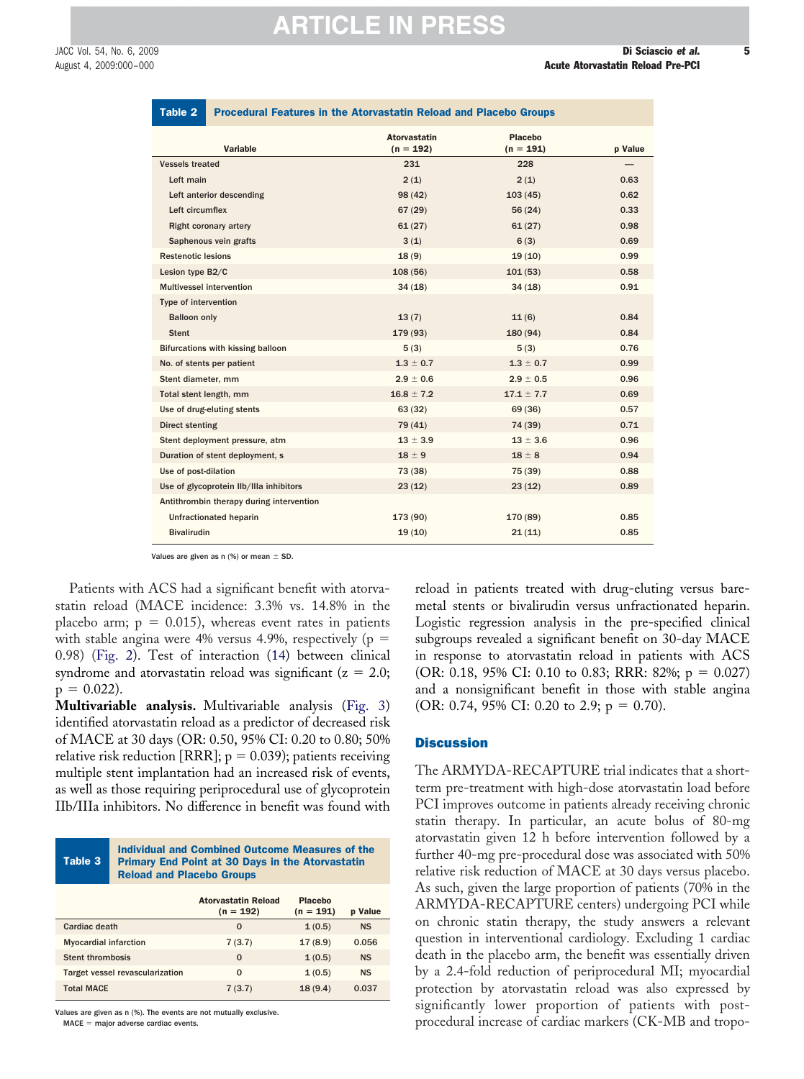**Value** 

| Table 2                         |                                   | <b>Procedural Features in the Atorvastatin Reload and Placebo Groups</b> |                        |        |
|---------------------------------|-----------------------------------|--------------------------------------------------------------------------|------------------------|--------|
|                                 | Variable                          | <b>Atorvastatin</b><br>$(n = 192)$                                       | Placebo<br>$(n = 191)$ | p Valu |
| <b>Vessels treated</b>          |                                   | 231                                                                      | 228                    |        |
| Left main                       |                                   | 2(1)                                                                     | 2(1)                   | 0.63   |
|                                 | Left anterior descending          | 98(42)                                                                   | 103(45)                | 0.62   |
| Left circumflex                 |                                   | 67(29)                                                                   | 56(24)                 | 0.33   |
| <b>Right coronary artery</b>    |                                   | 61(27)                                                                   | 61(27)                 | 0.98   |
| Saphenous vein grafts           |                                   | 3(1)                                                                     | 6(3)                   | 0.69   |
| <b>Restenotic lesions</b>       |                                   | 18(9)                                                                    | 19(10)                 | 0.99   |
| Lesion type B2/C                |                                   | 108(56)                                                                  | 101(53)                | 0.58   |
| <b>Multivessel intervention</b> |                                   | 34(18)                                                                   | 34(18)                 | 0.91   |
| Type of intervention            |                                   |                                                                          |                        |        |
| <b>Balloon only</b>             |                                   | 13(7)                                                                    | 11(6)                  | 0.84   |
| <b>Stent</b>                    |                                   | 179 (93)                                                                 | 180 (94)               | 0.84   |
|                                 | Bifurcations with kissing balloon | 5(3)                                                                     | 5(3)                   | 0.76   |
| No. of stents per patient       |                                   | $1.3 \pm 0.7$                                                            | $1.3 \pm 0.7$          | 0.99   |
| Stent diameter, mm              |                                   | $2.9 \pm 0.6$                                                            | $2.9 \pm 0.5$          | 0.96   |

Total stent length, mm  $16.8 \pm 7.2$   $17.1 \pm 7.7$  0.69 Use of drug-eluting stents **63** (32) 63 (32) 69 (36) 0.57 Direct stenting 0.71 (2012) 2.74 (39) 0.71 Stent deployment pressure, atm  $13 \pm 3.9$   $13 \pm 3.6$  0.96 Duration of stent deployment, s 18  $\pm$  9 18  $\pm$  8 0.94 Use of post-dilation 0.88 Use of glycoprotein IIb/IIIa inhibitors 23 (12) 23 (12) 23 (12) 0.89

Unfractionated heparin 20085 2009 173 (90) 173 (90) 170 (89) 0.85 Bivalirudin 19 (10) 21 (11) 0.85

Patients with ACS had a significant benefit with atorvastatin reload (MACE incidence: 3.3% vs. 14.8% in the

Antithrombin therapy during intervention

placebo arm;  $p = 0.015$ ), whereas event rates in patients with stable angina were 4% versus 4.9%, respectively (p  $=$ 0.98) (Fig. 2). Test of interaction [\(14\)](#page-6-0) between clinical syndrome and atorvastatin reload was significant ( $z = 2.0$ ;  $p = 0.022$ ).

Values are given as n (%) or mean  $\pm$  SD.

**Multivariable analysis.** Multivariable analysis (Fig. 3) identified atorvastatin reload as a predictor of decreased risk of MACE at 30 days (OR: 0.50, 95% CI: 0.20 to 0.80; 50% relative risk reduction [RRR];  $\rm p$  = 0.039); patients receiving multiple stent implantation had an increased risk of events, as well as those requiring periprocedural use of glycoprotein IIb/IIIa inhibitors. No difference in benefit was found with

|         | Individual and Combined Outcome Measures of the         |  |  |
|---------|---------------------------------------------------------|--|--|
| Table 3 | <b>Primary End Point at 30 Days in the Atorvastatin</b> |  |  |
|         | <b>Reload and Placebo Groups</b>                        |  |  |

|                                 | <b>Atorvastatin Reload</b><br>$(n = 192)$ | <b>Placebo</b><br>$(n = 191)$ | <b>p</b> Value |
|---------------------------------|-------------------------------------------|-------------------------------|----------------|
| Cardiac death                   | $\Omega$                                  | 1(0.5)                        | <b>NS</b>      |
| <b>Myocardial infarction</b>    | 7(3.7)                                    | 17(8.9)                       | 0.056          |
| <b>Stent thrombosis</b>         | $\Omega$                                  | 1(0.5)                        | <b>NS</b>      |
| Target vessel revascularization | 0                                         | 1(0.5)                        | <b>NS</b>      |
| <b>Total MACE</b>               | 7(3.7)                                    | 18(9.4)                       | 0.037          |

Values are given as n (%). The events are not mutually exclusive.

 $MACE = major adverse cardiac events.$ 

reload in patients treated with drug-eluting versus baremetal stents or bivalirudin versus unfractionated heparin. Logistic regression analysis in the pre-specified clinical subgroups revealed a significant benefit on 30-day MACE in response to atorvastatin reload in patients with ACS (OR: 0.18, 95% CI: 0.10 to 0.83; RRR: 82%;  $p = 0.027$ ) and a nonsignificant benefit in those with stable angina (OR: 0.74, 95% CI: 0.20 to 2.9;  $p = 0.70$ ).

#### **Discussion**

The ARMYDA-RECAPTURE trial indicates that a shortterm pre-treatment with high-dose atorvastatin load before PCI improves outcome in patients already receiving chronic statin therapy. In particular, an acute bolus of 80-mg atorvastatin given 12 h before intervention followed by a further 40-mg pre-procedural dose was associated with 50% relative risk reduction of MACE at 30 days versus placebo. As such, given the large proportion of patients (70% in the ARMYDA-RECAPTURE centers) undergoing PCI while on chronic statin therapy, the study answers a relevant question in interventional cardiology. Excluding 1 cardiac death in the placebo arm, the benefit was essentially driven by a 2.4-fold reduction of periprocedural MI; myocardial protection by atorvastatin reload was also expressed by significantly lower proportion of patients with postprocedural increase of cardiac markers (CK-MB and tropo-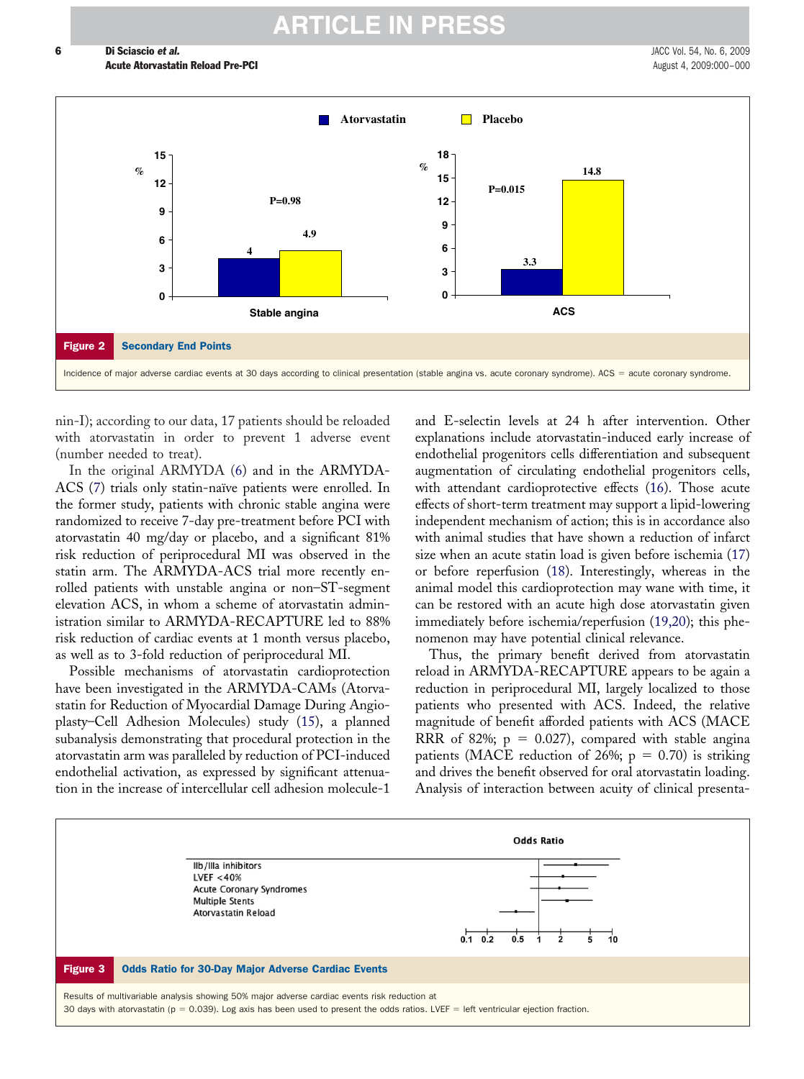

nin-I); according to our data, 17 patients should be reloaded with atorvastatin in order to prevent 1 adverse event (number needed to treat).

In the original ARMYDA [\(6\)](#page-6-0) and in the ARMYDA-ACS [\(7\)](#page-6-0) trials only statin-naïve patients were enrolled. In the former study, patients with chronic stable angina were randomized to receive 7-day pre-treatment before PCI with atorvastatin 40 mg/day or placebo, and a significant 81% risk reduction of periprocedural MI was observed in the statin arm. The ARMYDA-ACS trial more recently enrolled patients with unstable angina or non–ST-segment elevation ACS, in whom a scheme of atorvastatin administration similar to ARMYDA-RECAPTURE led to 88% risk reduction of cardiac events at 1 month versus placebo, as well as to 3-fold reduction of periprocedural MI.

Possible mechanisms of atorvastatin cardioprotection have been investigated in the ARMYDA-CAMs (Atorvastatin for Reduction of Myocardial Damage During Angioplasty–Cell Adhesion Molecules) study [\(15\)](#page-6-0), a planned subanalysis demonstrating that procedural protection in the atorvastatin arm was paralleled by reduction of PCI-induced endothelial activation, as expressed by significant attenuation in the increase of intercellular cell adhesion molecule-1

and E-selectin levels at 24 h after intervention. Other explanations include atorvastatin-induced early increase of endothelial progenitors cells differentiation and subsequent augmentation of circulating endothelial progenitors cells, with attendant cardioprotective effects [\(16\)](#page-6-0). Those acute effects of short-term treatment may support a lipid-lowering independent mechanism of action; this is in accordance also with animal studies that have shown a reduction of infarct size when an acute statin load is given before ischemia [\(17\)](#page-6-0) or before reperfusion [\(18\)](#page-6-0). Interestingly, whereas in the animal model this cardioprotection may wane with time, it can be restored with an acute high dose atorvastatin given immediately before ischemia/reperfusion [\(19,20\)](#page-7-0); this phenomenon may have potential clinical relevance.

Thus, the primary benefit derived from atorvastatin reload in ARMYDA-RECAPTURE appears to be again a reduction in periprocedural MI, largely localized to those patients who presented with ACS. Indeed, the relative magnitude of benefit afforded patients with ACS (MACE RRR of 82%;  $p = 0.027$ ), compared with stable angina patients (MACE reduction of 26%;  $p = 0.70$ ) is striking and drives the benefit observed for oral atorvastatin loading. Analysis of interaction between acuity of clinical presenta-

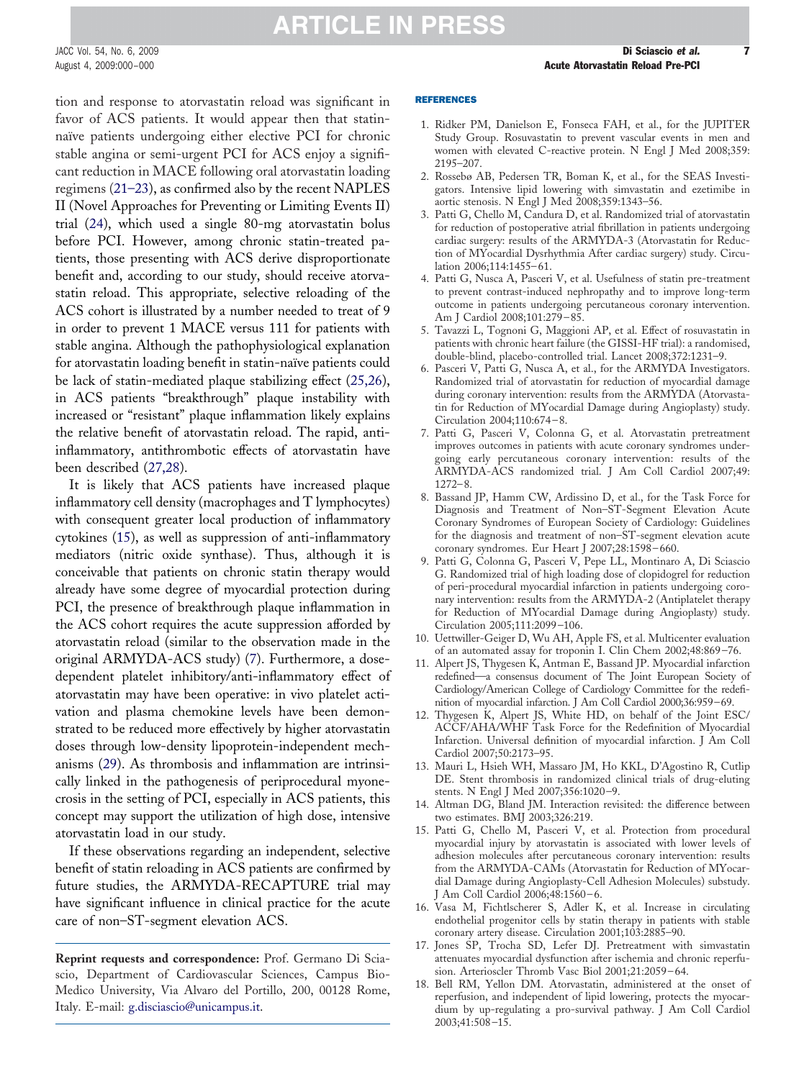<span id="page-6-0"></span>JACC Vol. 54, No. 6, 2009 **Di Sciascio et al. 7** 

### **ARTICLE IN PRESS**

tion and response to atorvastatin reload was significant in favor of ACS patients. It would appear then that statinnaïve patients undergoing either elective PCI for chronic stable angina or semi-urgent PCI for ACS enjoy a significant reduction in MACE following oral atorvastatin loading regimens [\(21–23\)](#page-7-0), as confirmed also by the recent NAPLES II (Novel Approaches for Preventing or Limiting Events II) trial [\(24\)](#page-7-0), which used a single 80-mg atorvastatin bolus before PCI. However, among chronic statin-treated patients, those presenting with ACS derive disproportionate benefit and, according to our study, should receive atorvastatin reload. This appropriate, selective reloading of the ACS cohort is illustrated by a number needed to treat of 9 in order to prevent 1 MACE versus 111 for patients with stable angina. Although the pathophysiological explanation for atorvastatin loading benefit in statin-naïve patients could be lack of statin-mediated plaque stabilizing effect [\(25,26\)](#page-7-0), in ACS patients "breakthrough" plaque instability with increased or "resistant" plaque inflammation likely explains the relative benefit of atorvastatin reload. The rapid, antiinflammatory, antithrombotic effects of atorvastatin have been described [\(27,28\)](#page-7-0).

It is likely that ACS patients have increased plaque inflammatory cell density (macrophages and T lymphocytes) with consequent greater local production of inflammatory cytokines (15), as well as suppression of anti-inflammatory mediators (nitric oxide synthase). Thus, although it is conceivable that patients on chronic statin therapy would already have some degree of myocardial protection during PCI, the presence of breakthrough plaque inflammation in the ACS cohort requires the acute suppression afforded by atorvastatin reload (similar to the observation made in the original ARMYDA-ACS study) (7). Furthermore, a dosedependent platelet inhibitory/anti-inflammatory effect of atorvastatin may have been operative: in vivo platelet activation and plasma chemokine levels have been demonstrated to be reduced more effectively by higher atorvastatin doses through low-density lipoprotein-independent mechanisms [\(29\)](#page-7-0). As thrombosis and inflammation are intrinsically linked in the pathogenesis of periprocedural myonecrosis in the setting of PCI, especially in ACS patients, this concept may support the utilization of high dose, intensive atorvastatin load in our study.

If these observations regarding an independent, selective benefit of statin reloading in ACS patients are confirmed by future studies, the ARMYDA-RECAPTURE trial may have significant influence in clinical practice for the acute care of non–ST-segment elevation ACS.

**Reprint requests and correspondence:** Prof. Germano Di Sciascio, Department of Cardiovascular Sciences, Campus Bio-Medico University, Via Alvaro del Portillo, 200, 00128 Rome, Italy. E-mail: [g.disciascio@unicampus.it.](mailto:g.disciascio@unicampus.it)

#### REFERENCES

- 1. Ridker PM, Danielson E, Fonseca FAH, et al., for the JUPITER Study Group. Rosuvastatin to prevent vascular events in men and women with elevated C-reactive protein. N Engl J Med 2008;359: 2195–207.
- 2. Rossebø AB, Pedersen TR, Boman K, et al., for the SEAS Investigators. Intensive lipid lowering with simvastatin and ezetimibe in aortic stenosis. N Engl J Med 2008;359:1343–56.
- 3. Patti G, Chello M, Candura D, et al. Randomized trial of atorvastatin for reduction of postoperative atrial fibrillation in patients undergoing cardiac surgery: results of the ARMYDA-3 (Atorvastatin for Reduction of MYocardial Dysrhythmia After cardiac surgery) study. Circulation 2006;114:1455–61.
- 4. Patti G, Nusca A, Pasceri V, et al. Usefulness of statin pre-treatment to prevent contrast-induced nephropathy and to improve long-term outcome in patients undergoing percutaneous coronary intervention. Am J Cardiol 2008;101:279–85.
- 5. Tavazzi L, Tognoni G, Maggioni AP, et al. Effect of rosuvastatin in patients with chronic heart failure (the GISSI-HF trial): a randomised, double-blind, placebo-controlled trial. Lancet 2008;372:1231–9.
- 6. Pasceri V, Patti G, Nusca A, et al., for the ARMYDA Investigators. Randomized trial of atorvastatin for reduction of myocardial damage during coronary intervention: results from the ARMYDA (Atorvastatin for Reduction of MYocardial Damage during Angioplasty) study. Circulation 2004;110:674–8.
- 7. Patti G, Pasceri V, Colonna G, et al. Atorvastatin pretreatment improves outcomes in patients with acute coronary syndromes undergoing early percutaneous coronary intervention: results of the ARMYDA-ACS randomized trial. J Am Coll Cardiol 2007;49: 1272–8.
- 8. Bassand JP, Hamm CW, Ardissino D, et al., for the Task Force for Diagnosis and Treatment of Non–ST-Segment Elevation Acute Coronary Syndromes of European Society of Cardiology: Guidelines for the diagnosis and treatment of non–ST-segment elevation acute coronary syndromes. Eur Heart J 2007;28:1598–660.
- 9. Patti G, Colonna G, Pasceri V, Pepe LL, Montinaro A, Di Sciascio G. Randomized trial of high loading dose of clopidogrel for reduction of peri-procedural myocardial infarction in patients undergoing coronary intervention: results from the ARMYDA-2 (Antiplatelet therapy for Reduction of MYocardial Damage during Angioplasty) study. Circulation 2005;111:2099–106.
- 10. Uettwiller-Geiger D, Wu AH, Apple FS, et al. Multicenter evaluation of an automated assay for troponin I. Clin Chem 2002;48:869–76.
- 11. Alpert JS, Thygesen K, Antman E, Bassand JP. Myocardial infarction redefined—a consensus document of The Joint European Society of Cardiology/American College of Cardiology Committee for the redefinition of myocardial infarction. J Am Coll Cardiol 2000;36:959–69.
- 12. Thygesen K, Alpert JS, White HD, on behalf of the Joint ESC/ ACCF/AHA/WHF Task Force for the Redefinition of Myocardial Infarction. Universal definition of myocardial infarction. J Am Coll Cardiol 2007;50:2173–95.
- 13. Mauri L, Hsieh WH, Massaro JM, Ho KKL, D'Agostino R, Cutlip DE. Stent thrombosis in randomized clinical trials of drug-eluting stents. N Engl J Med 2007;356:1020–9.
- 14. Altman DG, Bland JM. Interaction revisited: the difference between two estimates. BMJ 2003;326:219.
- 15. Patti G, Chello M, Pasceri V, et al. Protection from procedural myocardial injury by atorvastatin is associated with lower levels of adhesion molecules after percutaneous coronary intervention: results from the ARMYDA-CAMs (Atorvastatin for Reduction of MYocardial Damage during Angioplasty-Cell Adhesion Molecules) substudy. J Am Coll Cardiol 2006;48:1560–6.
- 16. Vasa M, Fichtlscherer S, Adler K, et al. Increase in circulating endothelial progenitor cells by statin therapy in patients with stable coronary artery disease. Circulation 2001;103:2885–90.
- 17. Jones SP, Trocha SD, Lefer DJ. Pretreatment with simvastatin attenuates myocardial dysfunction after ischemia and chronic reperfusion. Arterioscler Thromb Vasc Biol 2001;21:2059–64.
- 18. Bell RM, Yellon DM. Atorvastatin, administered at the onset of reperfusion, and independent of lipid lowering, protects the myocardium by up-regulating a pro-survival pathway. J Am Coll Cardiol 2003;41:508–15.